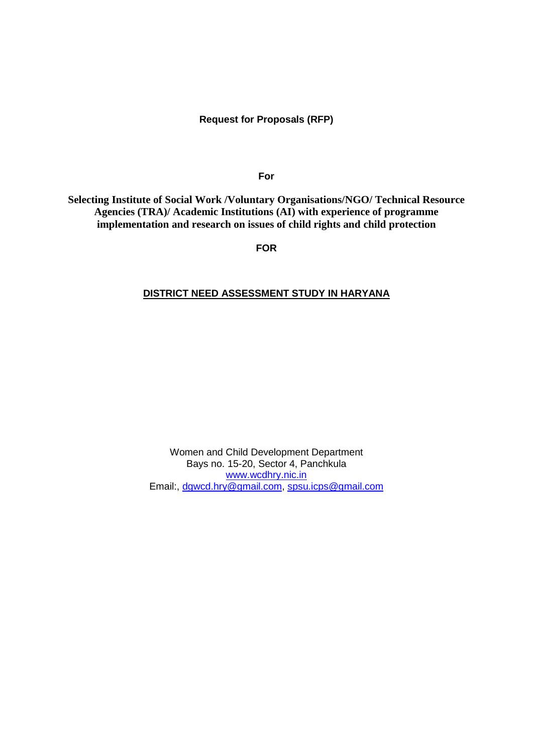## **Request for Proposals (RFP)**

**For**

**Selecting Institute of Social Work /Voluntary Organisations/NGO/ Technical Resource Agencies (TRA)/ Academic Institutions (AI) with experience of programme implementation and research on issues of child rights and child protection**

**FOR**

## **DISTRICT NEED ASSESSMENT STUDY IN HARYANA**

Women and Child Development Department Bays no. 15-20, Sector 4, Panchkula [www.wcdhry.nic.in](http://www.wcdhry.nic.in/) Email:, [dgwcd.hry@gmail.com,](mailto:dgwcd.hry@gmail.com) [spsu.icps@gmail.com](mailto:spsu.icps@gmail.com)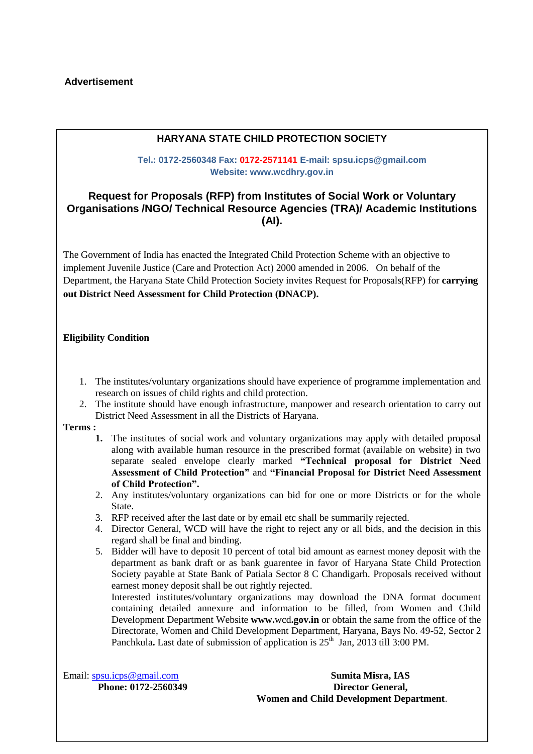# **Advertisement**

## **HARYANA STATE CHILD PROTECTION SOCIETY**

### **Tel.: 0172-2560348 Fax: 0172-2571141 E-mail: spsu.icps@gmail.com Website: www.wcdhry.gov.in**

# **Request for Proposals (RFP) from Institutes of Social Work or Voluntary Organisations /NGO/ Technical Resource Agencies (TRA)/ Academic Institutions (AI).**

The Government of India has enacted the Integrated Child Protection Scheme with an objective to implement Juvenile Justice (Care and Protection Act) 2000 amended in 2006. On behalf of the Department, the Haryana State Child Protection Society invites Request for Proposals(RFP) for **carrying out District Need Assessment for Child Protection (DNACP).**

#### **Eligibility Condition**

- 1. The institutes/voluntary organizations should have experience of programme implementation and research on issues of child rights and child protection.
- 2. The institute should have enough infrastructure, manpower and research orientation to carry out District Need Assessment in all the Districts of Haryana.

#### **Terms :**

- **1.** The institutes of social work and voluntary organizations may apply with detailed proposal along with available human resource in the prescribed format (available on website) in two separate sealed envelope clearly marked **"Technical proposal for District Need Assessment of Child Protection"** and **"Financial Proposal for District Need Assessment of Child Protection".**
- 2. Any institutes/voluntary organizations can bid for one or more Districts or for the whole State.
- 3. RFP received after the last date or by email etc shall be summarily rejected.
- 4. Director General, WCD will have the right to reject any or all bids, and the decision in this regard shall be final and binding.
- 5. Bidder will have to deposit 10 percent of total bid amount as earnest money deposit with the department as bank draft or as bank guarentee in favor of Haryana State Child Protection Society payable at State Bank of Patiala Sector 8 C Chandigarh. Proposals received without earnest money deposit shall be out rightly rejected.

Interested institutes/voluntary organizations may download the DNA format document containing detailed annexure and information to be filled, from Women and Child Development Department Website **www.**wcd**.gov.in** or obtain the same from the office of the Directorate, Women and Child Development Department, Haryana, Bays No. 49-52, Sector 2 Panchkula**.** Last date of submission of application is  $25<sup>th</sup>$  Jan, 2013 till 3:00 PM.

Email: [spsu.icps@gmail.com](mailto:spsu.icps@gmail.com) **Sumita Misra, IAS Phone: 0172-2560349 Director General, Women and Child Development Department**.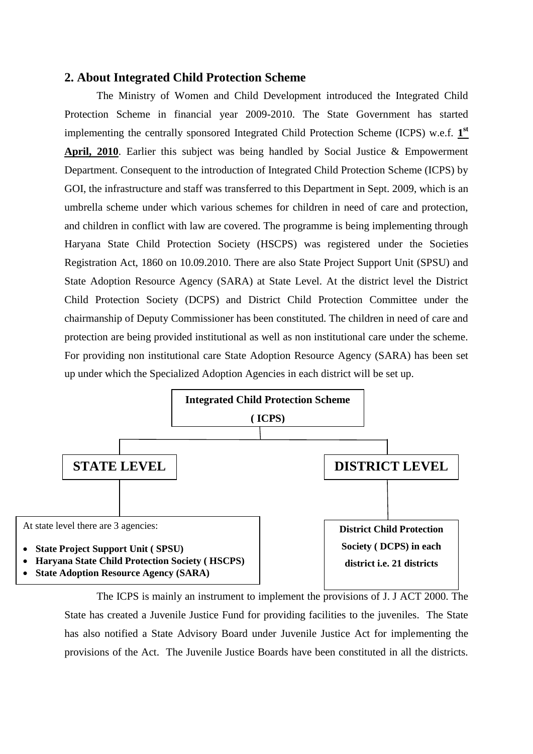# **2. About Integrated Child Protection Scheme**

The Ministry of Women and Child Development introduced the Integrated Child Protection Scheme in financial year 2009-2010. The State Government has started implementing the centrally sponsored Integrated Child Protection Scheme (ICPS) w.e.f. 1<sup>st</sup> **April, 2010**. Earlier this subject was being handled by Social Justice & Empowerment Department. Consequent to the introduction of Integrated Child Protection Scheme (ICPS) by GOI, the infrastructure and staff was transferred to this Department in Sept. 2009, which is an umbrella scheme under which various schemes for children in need of care and protection, and children in conflict with law are covered. The programme is being implementing through Haryana State Child Protection Society (HSCPS) was registered under the Societies Registration Act, 1860 on 10.09.2010. There are also State Project Support Unit (SPSU) and State Adoption Resource Agency (SARA) at State Level. At the district level the District Child Protection Society (DCPS) and District Child Protection Committee under the chairmanship of Deputy Commissioner has been constituted. The children in need of care and protection are being provided institutional as well as non institutional care under the scheme. For providing non institutional care State Adoption Resource Agency (SARA) has been set up under which the Specialized Adoption Agencies in each district will be set up.



The ICPS is mainly an instrument to implement the provisions of J. J ACT 2000. The State has created a Juvenile Justice Fund for providing facilities to the juveniles. The State has also notified a State Advisory Board under Juvenile Justice Act for implementing the provisions of the Act. The Juvenile Justice Boards have been constituted in all the districts.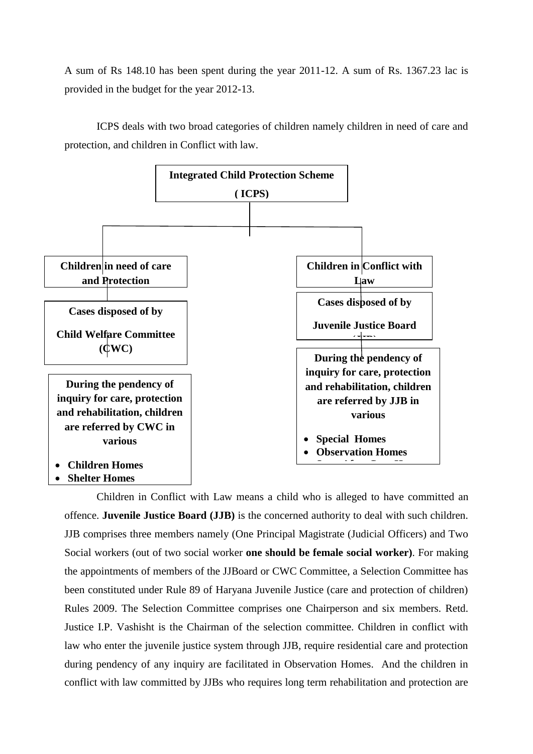A sum of Rs 148.10 has been spent during the year 2011-12. A sum of Rs. 1367.23 lac is provided in the budget for the year 2012-13.

ICPS deals with two broad categories of children namely children in need of care and protection, and children in Conflict with law.



**Shelter Homes**

Children in Conflict with Law means a child who is alleged to have committed an offence. **Juvenile Justice Board (JJB)** is the concerned authority to deal with such children. JJB comprises three members namely (One Principal Magistrate (Judicial Officers) and Two Social workers (out of two social worker **one should be female social worker)**. For making the appointments of members of the JJBoard or CWC Committee, a Selection Committee has been constituted under Rule 89 of Haryana Juvenile Justice (care and protection of children) Rules 2009. The Selection Committee comprises one Chairperson and six members. Retd. Justice I.P. Vashisht is the Chairman of the selection committee. Children in conflict with law who enter the juvenile justice system through JJB, require residential care and protection during pendency of any inquiry are facilitated in Observation Homes. And the children in conflict with law committed by JJBs who requires long term rehabilitation and protection are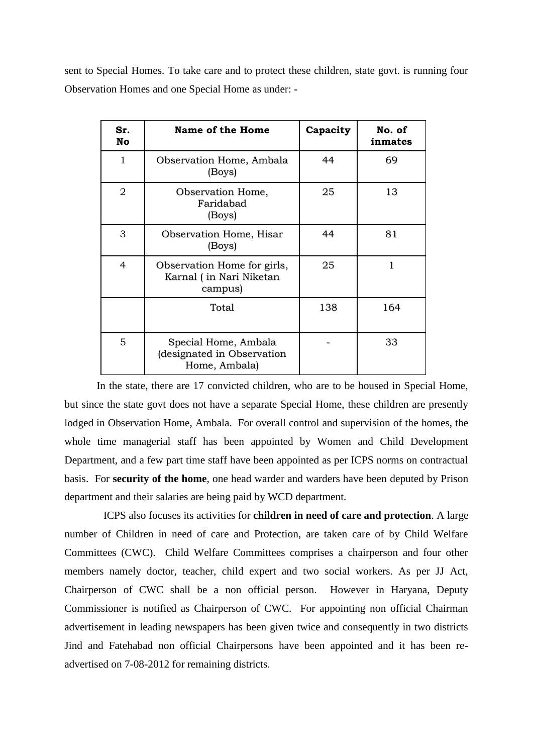sent to Special Homes. To take care and to protect these children, state govt. is running four Observation Homes and one Special Home as under: -

| Sr.<br>No      | Name of the Home                                                    | Capacity | No. of<br>inmates |
|----------------|---------------------------------------------------------------------|----------|-------------------|
| $\mathbf{1}$   | Observation Home, Ambala<br>(Boys)                                  | 44       | 69                |
| $\overline{2}$ | Observation Home,<br>Faridabad<br>(Boys)                            | 25       | 13                |
| 3              | Observation Home, Hisar<br>(Boys)                                   | 44       | 81                |
| $\overline{4}$ | Observation Home for girls,<br>Karnal (in Nari Niketan<br>campus)   | 25       |                   |
|                | Total                                                               | 138      | 164               |
| 5              | Special Home, Ambala<br>(designated in Observation<br>Home, Ambala) |          | 33                |

In the state, there are 17 convicted children, who are to be housed in Special Home, but since the state govt does not have a separate Special Home, these children are presently lodged in Observation Home, Ambala. For overall control and supervision of the homes, the whole time managerial staff has been appointed by Women and Child Development Department, and a few part time staff have been appointed as per ICPS norms on contractual basis. For **security of the home**, one head warder and warders have been deputed by Prison department and their salaries are being paid by WCD department.

ICPS also focuses its activities for **children in need of care and protection**. A large number of Children in need of care and Protection, are taken care of by Child Welfare Committees (CWC). Child Welfare Committees comprises a chairperson and four other members namely doctor, teacher, child expert and two social workers. As per JJ Act, Chairperson of CWC shall be a non official person. However in Haryana, Deputy Commissioner is notified as Chairperson of CWC. For appointing non official Chairman advertisement in leading newspapers has been given twice and consequently in two districts Jind and Fatehabad non official Chairpersons have been appointed and it has been readvertised on 7-08-2012 for remaining districts.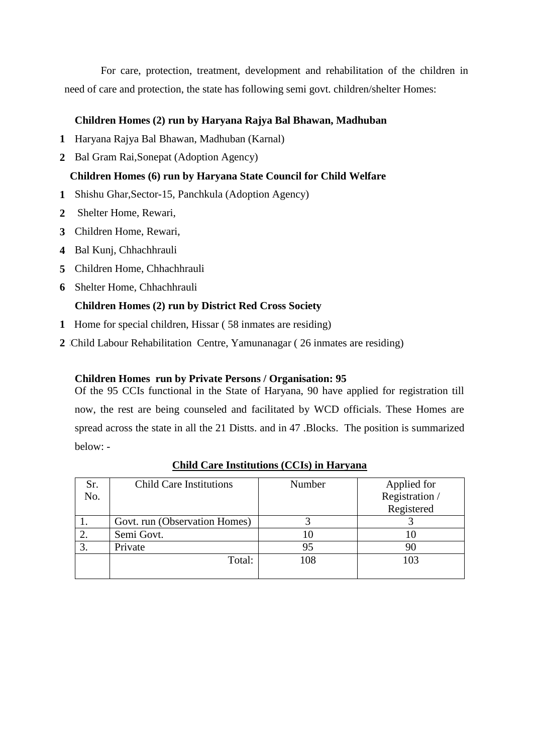For care, protection, treatment, development and rehabilitation of the children in need of care and protection, the state has following semi govt. children/shelter Homes:

# **Children Homes (2) run by Haryana Rajya Bal Bhawan, Madhuban**

- **1** Haryana Rajya Bal Bhawan, Madhuban (Karnal)
- **2** Bal Gram Rai,Sonepat (Adoption Agency)

## **Children Homes (6) run by Haryana State Council for Child Welfare**

- **1** Shishu Ghar,Sector-15, Panchkula (Adoption Agency)
- **2** Shelter Home, Rewari,
- **3** Children Home, Rewari,
- **4** Bal Kunj, Chhachhrauli
- **5** Children Home, Chhachhrauli
- **6** Shelter Home, Chhachhrauli

### **Children Homes (2) run by District Red Cross Society**

- **1** Home for special children, Hissar ( 58 inmates are residing)
- 2 Child Labour Rehabilitation Centre, Yamunanagar (26 inmates are residing)

## **Children Homes run by Private Persons / Organisation: 95**

Of the 95 CCIs functional in the State of Haryana, 90 have applied for registration till now, the rest are being counseled and facilitated by WCD officials. These Homes are spread across the state in all the 21 Distts. and in 47 .Blocks. The position is summarized below: -

| Sr. | <b>Child Care Institutions</b> | Number | Applied for    |
|-----|--------------------------------|--------|----------------|
| No. |                                |        | Registration / |
|     |                                |        | Registered     |
|     | Govt. run (Observation Homes)  |        |                |
|     | Semi Govt.                     | 10     | 10             |
|     | Private                        | 95     | 90             |
|     | Total:                         | 108    | 103            |
|     |                                |        |                |

### **Child Care Institutions (CCIs) in Haryana**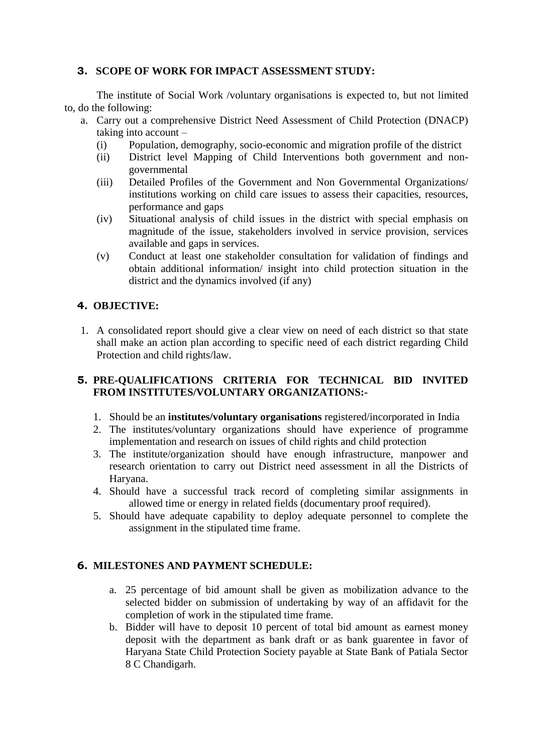# **3. SCOPE OF WORK FOR IMPACT ASSESSMENT STUDY:**

The institute of Social Work /voluntary organisations is expected to, but not limited to, do the following:

- a. Carry out a comprehensive District Need Assessment of Child Protection (DNACP) taking into account –
	- (i) Population, demography, socio-economic and migration profile of the district
	- (ii) District level Mapping of Child Interventions both government and nongovernmental
	- (iii) Detailed Profiles of the Government and Non Governmental Organizations/ institutions working on child care issues to assess their capacities, resources, performance and gaps
	- (iv) Situational analysis of child issues in the district with special emphasis on magnitude of the issue, stakeholders involved in service provision, services available and gaps in services.
	- (v) Conduct at least one stakeholder consultation for validation of findings and obtain additional information/ insight into child protection situation in the district and the dynamics involved (if any)

# **4. OBJECTIVE:**

1. A consolidated report should give a clear view on need of each district so that state shall make an action plan according to specific need of each district regarding Child Protection and child rights/law.

# **5. PRE-QUALIFICATIONS CRITERIA FOR TECHNICAL BID INVITED FROM INSTITUTES/VOLUNTARY ORGANIZATIONS:-**

- 1. Should be an **institutes/voluntary organisations** registered/incorporated in India
- 2. The institutes/voluntary organizations should have experience of programme implementation and research on issues of child rights and child protection
- 3. The institute/organization should have enough infrastructure, manpower and research orientation to carry out District need assessment in all the Districts of Haryana.
- 4. Should have a successful track record of completing similar assignments in allowed time or energy in related fields (documentary proof required).
- 5. Should have adequate capability to deploy adequate personnel to complete the assignment in the stipulated time frame.

# **6. MILESTONES AND PAYMENT SCHEDULE:**

- a. 25 percentage of bid amount shall be given as mobilization advance to the selected bidder on submission of undertaking by way of an affidavit for the completion of work in the stipulated time frame.
- b. Bidder will have to deposit 10 percent of total bid amount as earnest money deposit with the department as bank draft or as bank guarentee in favor of Haryana State Child Protection Society payable at State Bank of Patiala Sector 8 C Chandigarh.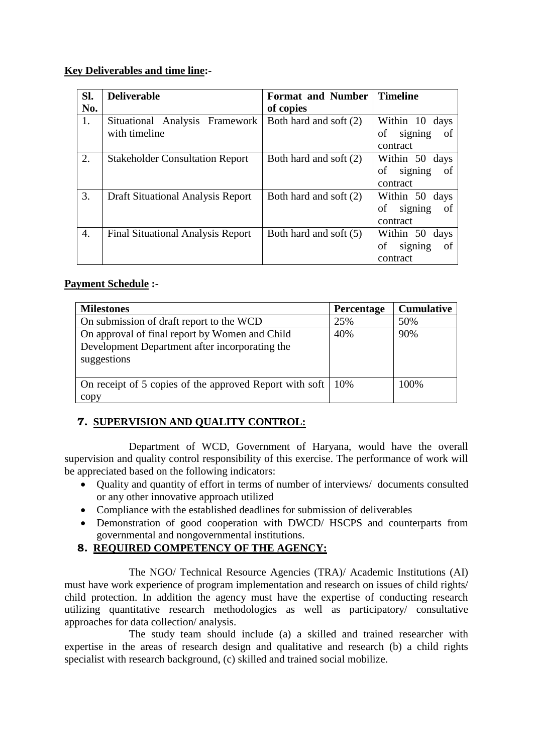# **Key Deliverables and time line:-**

| Sl. | <b>Deliverable</b>                              | <b>Format and Number</b> | <b>Timeline</b>                                      |
|-----|-------------------------------------------------|--------------------------|------------------------------------------------------|
| No. |                                                 | of copies                |                                                      |
| 1.  | Situational Analysis Framework<br>with timeline | Both hard and soft (2)   | Within 10<br>days<br>signing<br>οf<br>of<br>contract |
| 2.  | <b>Stakeholder Consultation Report</b>          | Both hard and soft (2)   | Within 50 days<br>signing<br>οf<br>οf<br>contract    |
| 3.  | Draft Situational Analysis Report               | Both hard and soft (2)   | Within 50 days<br>of<br>signing<br>of<br>contract    |
| 4.  | <b>Final Situational Analysis Report</b>        | Both hard and soft (5)   | Within 50 days<br>οf<br>signing<br>of<br>contract    |

# **Payment Schedule :-**

| <b>Milestones</b>                                       | <b>Percentage</b> | <b>Cumulative</b> |
|---------------------------------------------------------|-------------------|-------------------|
| On submission of draft report to the WCD                | 25%               | 50%               |
| On approval of final report by Women and Child          | 40%               | 90%               |
| Development Department after incorporating the          |                   |                   |
| suggestions                                             |                   |                   |
|                                                         |                   |                   |
| On receipt of 5 copies of the approved Report with soft | 10%               | 100%              |
| copy                                                    |                   |                   |

# **7. SUPERVISION AND QUALITY CONTROL:**

Department of WCD, Government of Haryana, would have the overall supervision and quality control responsibility of this exercise. The performance of work will be appreciated based on the following indicators:

- Quality and quantity of effort in terms of number of interviews/ documents consulted or any other innovative approach utilized
- Compliance with the established deadlines for submission of deliverables
- Demonstration of good cooperation with DWCD/ HSCPS and counterparts from governmental and nongovernmental institutions.
- **8. REQUIRED COMPETENCY OF THE AGENCY:**

The NGO/ Technical Resource Agencies (TRA)/ Academic Institutions (AI) must have work experience of program implementation and research on issues of child rights/ child protection. In addition the agency must have the expertise of conducting research utilizing quantitative research methodologies as well as participatory/ consultative approaches for data collection/ analysis.

The study team should include (a) a skilled and trained researcher with expertise in the areas of research design and qualitative and research (b) a child rights specialist with research background, (c) skilled and trained social mobilize.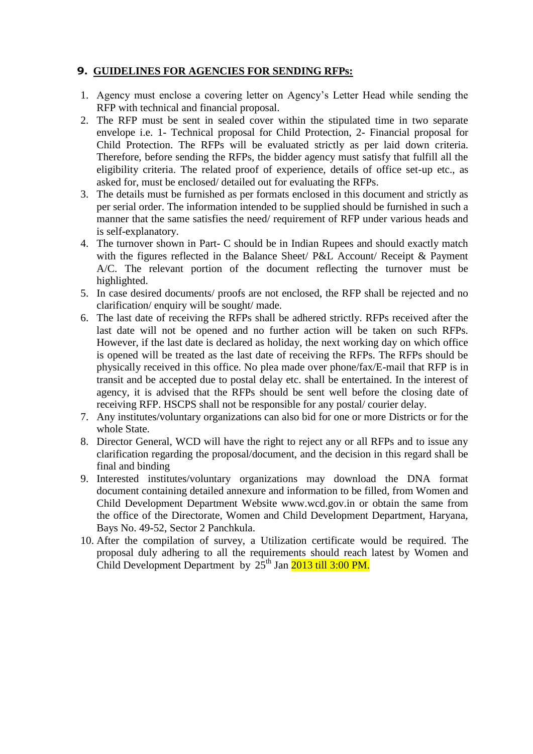# **9. GUIDELINES FOR AGENCIES FOR SENDING RFPs:**

- 1. Agency must enclose a covering letter on Agency's Letter Head while sending the RFP with technical and financial proposal.
- 2. The RFP must be sent in sealed cover within the stipulated time in two separate envelope i.e. 1- Technical proposal for Child Protection, 2- Financial proposal for Child Protection. The RFPs will be evaluated strictly as per laid down criteria. Therefore, before sending the RFPs, the bidder agency must satisfy that fulfill all the eligibility criteria. The related proof of experience, details of office set-up etc., as asked for, must be enclosed/ detailed out for evaluating the RFPs.
- 3. The details must be furnished as per formats enclosed in this document and strictly as per serial order. The information intended to be supplied should be furnished in such a manner that the same satisfies the need/ requirement of RFP under various heads and is self-explanatory.
- 4. The turnover shown in Part- C should be in Indian Rupees and should exactly match with the figures reflected in the Balance Sheet/ P&L Account/ Receipt & Payment A/C. The relevant portion of the document reflecting the turnover must be highlighted.
- 5. In case desired documents/ proofs are not enclosed, the RFP shall be rejected and no clarification/ enquiry will be sought/ made.
- 6. The last date of receiving the RFPs shall be adhered strictly. RFPs received after the last date will not be opened and no further action will be taken on such RFPs. However, if the last date is declared as holiday, the next working day on which office is opened will be treated as the last date of receiving the RFPs. The RFPs should be physically received in this office. No plea made over phone/fax/E-mail that RFP is in transit and be accepted due to postal delay etc. shall be entertained. In the interest of agency, it is advised that the RFPs should be sent well before the closing date of receiving RFP. HSCPS shall not be responsible for any postal/ courier delay.
- 7. Any institutes/voluntary organizations can also bid for one or more Districts or for the whole State.
- 8. Director General, WCD will have the right to reject any or all RFPs and to issue any clarification regarding the proposal/document, and the decision in this regard shall be final and binding
- 9. Interested institutes/voluntary organizations may download the DNA format document containing detailed annexure and information to be filled, from Women and Child Development Department Website www.wcd.gov.in or obtain the same from the office of the Directorate, Women and Child Development Department, Haryana, Bays No. 49-52, Sector 2 Panchkula.
- 10. After the compilation of survey, a Utilization certificate would be required. The proposal duly adhering to all the requirements should reach latest by Women and Child Development Department by  $25<sup>th</sup>$  Jan  $2013$  till 3:00 PM.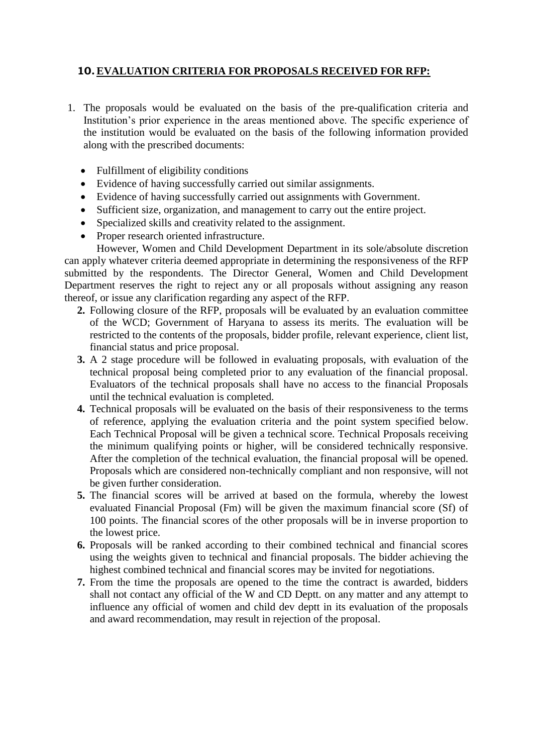# **10.EVALUATION CRITERIA FOR PROPOSALS RECEIVED FOR RFP:**

- 1. The proposals would be evaluated on the basis of the pre-qualification criteria and Institution's prior experience in the areas mentioned above. The specific experience of the institution would be evaluated on the basis of the following information provided along with the prescribed documents:
	- Fulfillment of eligibility conditions
	- Evidence of having successfully carried out similar assignments.
	- Evidence of having successfully carried out assignments with Government.
	- Sufficient size, organization, and management to carry out the entire project.
	- Specialized skills and creativity related to the assignment.
	- Proper research oriented infrastructure.

However, Women and Child Development Department in its sole/absolute discretion can apply whatever criteria deemed appropriate in determining the responsiveness of the RFP submitted by the respondents. The Director General, Women and Child Development Department reserves the right to reject any or all proposals without assigning any reason thereof, or issue any clarification regarding any aspect of the RFP.

- **2.** Following closure of the RFP, proposals will be evaluated by an evaluation committee of the WCD; Government of Haryana to assess its merits. The evaluation will be restricted to the contents of the proposals, bidder profile, relevant experience, client list, financial status and price proposal.
- **3.** A 2 stage procedure will be followed in evaluating proposals, with evaluation of the technical proposal being completed prior to any evaluation of the financial proposal. Evaluators of the technical proposals shall have no access to the financial Proposals until the technical evaluation is completed.
- **4.** Technical proposals will be evaluated on the basis of their responsiveness to the terms of reference, applying the evaluation criteria and the point system specified below. Each Technical Proposal will be given a technical score. Technical Proposals receiving the minimum qualifying points or higher, will be considered technically responsive. After the completion of the technical evaluation, the financial proposal will be opened. Proposals which are considered non-technically compliant and non responsive, will not be given further consideration.
- **5.** The financial scores will be arrived at based on the formula, whereby the lowest evaluated Financial Proposal (Fm) will be given the maximum financial score (Sf) of 100 points. The financial scores of the other proposals will be in inverse proportion to the lowest price.
- **6.** Proposals will be ranked according to their combined technical and financial scores using the weights given to technical and financial proposals. The bidder achieving the highest combined technical and financial scores may be invited for negotiations.
- **7.** From the time the proposals are opened to the time the contract is awarded, bidders shall not contact any official of the W and CD Deptt. on any matter and any attempt to influence any official of women and child dev deptt in its evaluation of the proposals and award recommendation, may result in rejection of the proposal.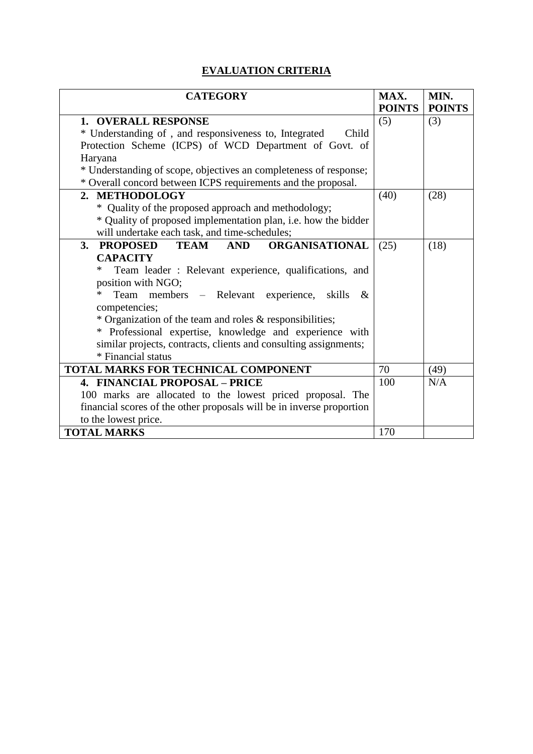# **EVALUATION CRITERIA**

| <b>CATEGORY</b>                                                       | MAX.          | MIN.          |
|-----------------------------------------------------------------------|---------------|---------------|
|                                                                       | <b>POINTS</b> | <b>POINTS</b> |
| 1. OVERALL RESPONSE                                                   | (5)           | (3)           |
| * Understanding of, and responsiveness to, Integrated<br>Child        |               |               |
| Protection Scheme (ICPS) of WCD Department of Govt. of                |               |               |
| Haryana                                                               |               |               |
| * Understanding of scope, objectives an completeness of response;     |               |               |
| * Overall concord between ICPS requirements and the proposal.         |               |               |
| 2. METHODOLOGY                                                        | (40)          | (28)          |
| * Quality of the proposed approach and methodology;                   |               |               |
| * Quality of proposed implementation plan, i.e. how the bidder        |               |               |
| will undertake each task, and time-schedules;                         |               |               |
| 3.<br>PROPOSED<br><b>TEAM AND</b><br><b>ORGANISATIONAL</b>            | (25)          | (18)          |
| <b>CAPACITY</b>                                                       |               |               |
| $\ast$<br>Team leader: Relevant experience, qualifications, and       |               |               |
| position with NGO;                                                    |               |               |
| Team members – Relevant experience, skills<br>*<br>$\&$               |               |               |
| competencies;                                                         |               |               |
| * Organization of the team and roles & responsibilities;              |               |               |
| * Professional expertise, knowledge and experience with               |               |               |
| similar projects, contracts, clients and consulting assignments;      |               |               |
| * Financial status                                                    |               |               |
| TOTAL MARKS FOR TECHNICAL COMPONENT                                   | 70            | (49)          |
| <b>4. FINANCIAL PROPOSAL - PRICE</b>                                  | 100           | N/A           |
| 100 marks are allocated to the lowest priced proposal. The            |               |               |
| financial scores of the other proposals will be in inverse proportion |               |               |
| to the lowest price.                                                  |               |               |
| <b>TOTAL MARKS</b>                                                    | 170           |               |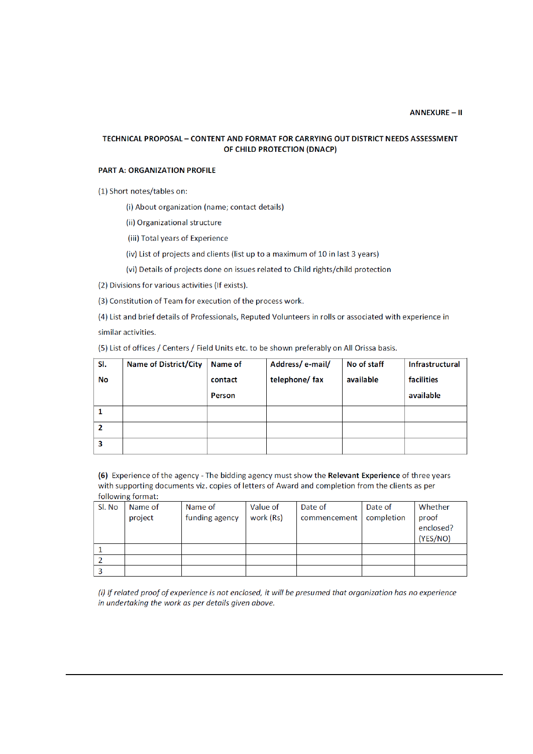#### TECHNICAL PROPOSAL - CONTENT AND FORMAT FOR CARRYING OUT DISTRICT NEEDS ASSESSMENT OF CHILD PROTECTION (DNACP)

#### **PART A: ORGANIZATION PROFILE**

(1) Short notes/tables on:

(i) About organization (name; contact details)

(ii) Organizational structure

(iii) Total years of Experience

(iv) List of projects and clients (list up to a maximum of 10 in last 3 years)

(vi) Details of projects done on issues related to Child rights/child protection

(2) Divisions for various activities (If exists).

(3) Constitution of Team for execution of the process work.

(4) List and brief details of Professionals, Reputed Volunteers in rolls or associated with experience in similar activities.

(5) List of offices / Centers / Field Units etc. to be shown preferably on All Orissa basis.

| SI.            | <b>Name of District/City</b> | Name of | Address/e-mail/ | No of staff | <b>Infrastructural</b> |
|----------------|------------------------------|---------|-----------------|-------------|------------------------|
| <b>No</b>      |                              | contact | telephone/ fax  | available   | facilities             |
|                |                              | Person  |                 |             | available              |
|                |                              |         |                 |             |                        |
| $\overline{2}$ |                              |         |                 |             |                        |
| 3              |                              |         |                 |             |                        |

(6) Experience of the agency - The bidding agency must show the Relevant Experience of three years with supporting documents viz. copies of letters of Award and completion from the clients as per following format:

| Sl. No | Name of | Name of        | Value of  | Date of      | Date of    | Whether   |
|--------|---------|----------------|-----------|--------------|------------|-----------|
|        | project | funding agency | work (Rs) | commencement | completion | proof     |
|        |         |                |           |              |            | enclosed? |
|        |         |                |           |              |            | (YES/NO)  |
|        |         |                |           |              |            |           |
|        |         |                |           |              |            |           |
|        |         |                |           |              |            |           |

(i) If related proof of experience is not enclosed, it will be presumed that organization has no experience in undertaking the work as per details given above.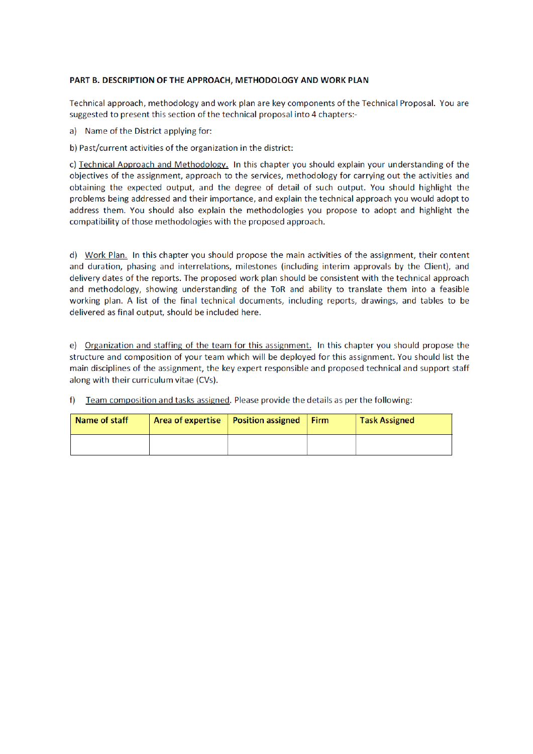#### PART B. DESCRIPTION OF THE APPROACH, METHODOLOGY AND WORK PLAN

Technical approach, methodology and work plan are key components of the Technical Proposal. You are suggested to present this section of the technical proposal into 4 chapters:-

a) Name of the District applying for:

b) Past/current activities of the organization in the district:

c) Technical Approach and Methodology. In this chapter you should explain your understanding of the objectives of the assignment, approach to the services, methodology for carrying out the activities and obtaining the expected output, and the degree of detail of such output. You should highlight the problems being addressed and their importance, and explain the technical approach you would adopt to address them. You should also explain the methodologies you propose to adopt and highlight the compatibility of those methodologies with the proposed approach.

d) Work Plan. In this chapter you should propose the main activities of the assignment, their content and duration, phasing and interrelations, milestones (including interim approvals by the Client), and delivery dates of the reports. The proposed work plan should be consistent with the technical approach and methodology, showing understanding of the ToR and ability to translate them into a feasible working plan. A list of the final technical documents, including reports, drawings, and tables to be delivered as final output, should be included here.

e) Organization and staffing of the team for this assignment. In this chapter you should propose the structure and composition of your team which will be deployed for this assignment. You should list the main disciplines of the assignment, the key expert responsible and proposed technical and support staff along with their curriculum vitae (CVs).

Team composition and tasks assigned. Please provide the details as per the following:  $f$ 

| Name of staff | Area of expertise   Position assigned | Firm | <b>Task Assigned</b> |
|---------------|---------------------------------------|------|----------------------|
|               |                                       |      |                      |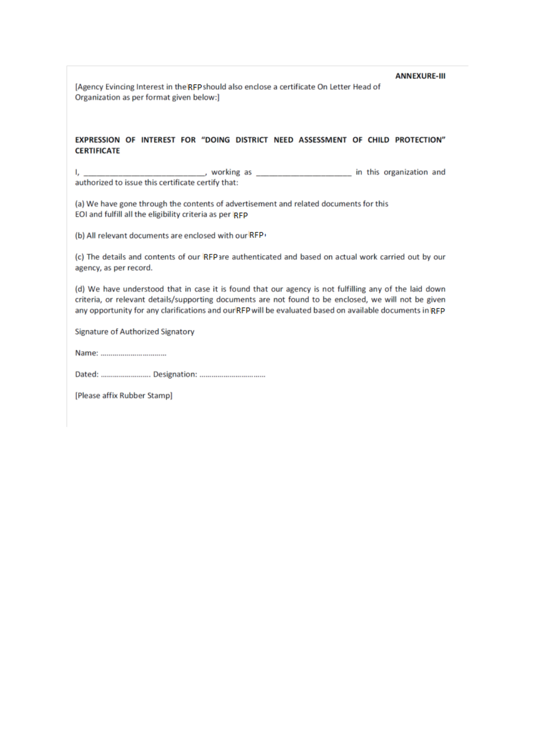**ANNEXURE-III** 

[Agency Evincing Interest in the RFP should also enclose a certificate On Letter Head of Organization as per format given below:]

#### EXPRESSION OF INTEREST FOR "DOING DISTRICT NEED ASSESSMENT OF CHILD PROTECTION" **CERTIFICATE**

\_\_\_\_, working as \_\_\_\_\_\_\_\_\_\_\_\_\_\_\_\_\_\_\_\_ in this organization and authorized to issue this certificate certify that:

(a) We have gone through the contents of advertisement and related documents for this EOI and fulfill all the eligibility criteria as per RFP

(b) All relevant documents are enclosed with our RFP

(c) The details and contents of our IRFPare authenticated and based on actual work carried out by our agency, as per record.

(d) We have understood that in case it is found that our agency is not fulfilling any of the laid down criteria, or relevant details/supporting documents are not found to be enclosed, we will not be given any opportunity for any clarifications and our RFP will be evaluated based on available documents in RFP

Signature of Authorized Signatory

Dated: ........................ Designation: ...................................

[Please affix Rubber Stamp]